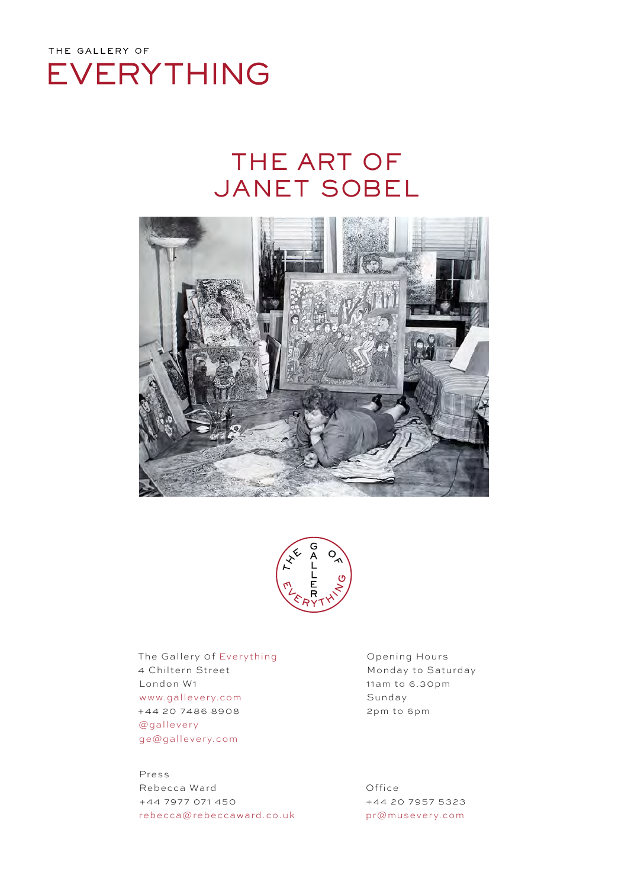

# THE ART OF JANET SOBEL





The Gallery 0f Everything 4 Chiltern Street London W1 www.gallevery.com +44 20 7486 8908 @gallevery ge@gallevery.com

Press Rebecca Ward +44 7977 071 450 rebecca@rebeccaward.co.uk Opening Hours Monday to Saturday 11am to 6.30pm Sunday 2pm to 6pm

Office +44 20 7957 5323 pr@musevery.com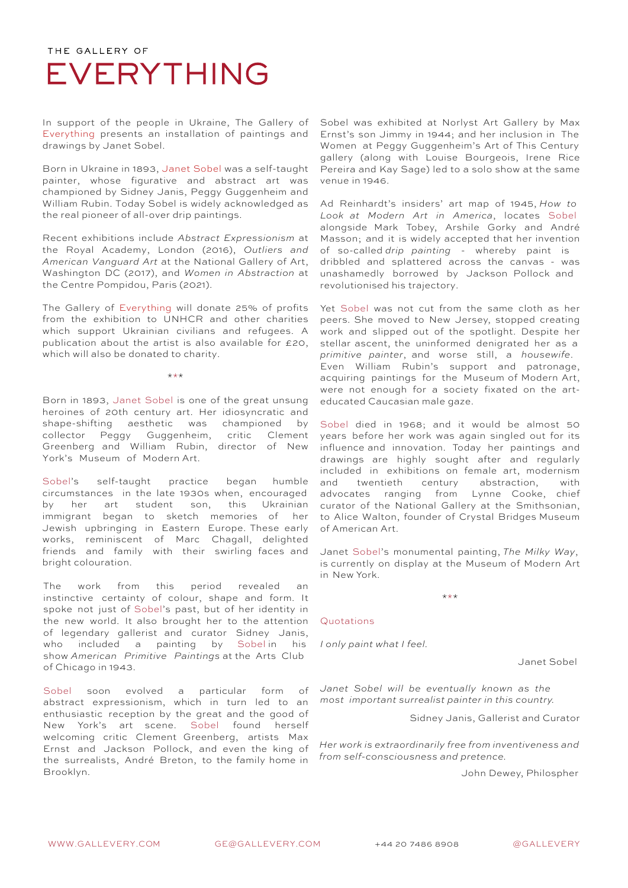In support of the people in Ukraine, The Gallery of Everything presents an installation of paintings and drawings by Janet Sobel.

Born in Ukraine in 1893, Janet Sobel was a self-taught painter, whose figurative and abstract art was championed by Sidney Janis, Peggy Guggenheim and William Rubin. Today Sobel is widely acknowledged as the real pioneer of all-over drip paintings.

Recent exhibitions include *Abstract Expressionism* at the Royal Academy, London (2016), *Outliers and American Vanguard Art* at the National Gallery of Art, Washington DC (2017), and *Women in Abstraction* at the Centre Pompidou, Paris (2021).

The Gallery of Everything will donate 25% of profits from the exhibition to UNHCR and other charities which support Ukrainian civilians and refugees. A publication about the artist is also available for £20, which will also be donated to charity.

\*\*\*

Born in 1893, Janet Sobel is one of the great unsung heroines of 20th century art. Her idiosyncratic and shape-shifting aesthetic was championed by collector Peggy Guggenheim, critic Clement Greenberg and William Rubin, director of New York's Museum of Modern Art.

Sobel's self-taught practice began humble circumstances in the late 1930s when, encouraged by her art student son, this Ukrainian immigrant began to sketch memories of her Jewish upbringing in Eastern Europe. These early works, reminiscent of Marc Chagall, delighted friends and family with their swirling faces and bright colouration.

The work from this period revealed an instinctive certainty of colour, shape and form. It spoke not just of Sobel's past, but of her identity in the new world. It also brought her to the attention of legendary gallerist and curator Sidney Janis, who included a painting by Sobel in his show *American Primitive Paintings* at the Arts Club of Chicago in 1943.

Sobel soon evolved a particular form of abstract expressionism, which in turn led to an enthusiastic reception by the great and the good of New York's art scene. Sobel found herself welcoming critic Clement Greenberg, artists Max Ernst and Jackson Pollock, and even the king of the surrealists, André Breton, to the family home in Brooklyn.

Sobel was exhibited at Norlyst Art Gallery by Max Ernst's son Jimmy in 1944; and her inclusion in The Women at Peggy Guggenheim's Art of This Century gallery (along with Louise Bourgeois, Irene Rice Pereira and Kay Sage) led to a solo show at the same venue in 1946.

Ad Reinhardt's insiders' art map of 1945, *How to Look at Modern Art in America*, locates Sobel alongside Mark Tobey, Arshile Gorky and André Masson; and it is widely accepted that her invention of so-called *drip painting* - whereby paint is dribbled and splattered across the canvas - was unashamedly borrowed by Jackson Pollock and revolutionised his trajectory.

Yet Sobel was not cut from the same cloth as her peers. She moved to New Jersey, stopped creating work and slipped out of the spotlight. Despite her stellar ascent, the uninformed denigrated her as a *primitive painter*, and worse still, a *housewife*. Even William Rubin's support and patronage, acquiring paintings for the Museum of Modern Art, were not enough for a society fixated on the arteducated Caucasian male gaze.

Sobel died in 1968; and it would be almost 50 years before her work was again singled out for its influence and innovation. Today her paintings and drawings are highly sought after and regularly included in exhibitions on female art, modernism and twentieth century abstraction, with advocates ranging from Lynne Cooke, chief curator of the National Gallery at the Smithsonian, to Alice Walton, founder of Crystal Bridges Museum of American Art.

Janet Sobel's monumental painting, *The Milky Way*, is currently on display at the Museum of Modern Art in New York.

\*\*\*

#### Quotations

*I only paint what I feel.*

Janet Sobel

*Janet Sobel will be eventually known as the most important surrealist painter in this country.*

Sidney Janis, Gallerist and Curator

*Her work is extraordinarily free from inventiveness and from self-consciousness and pretence.*

John Dewey, Philospher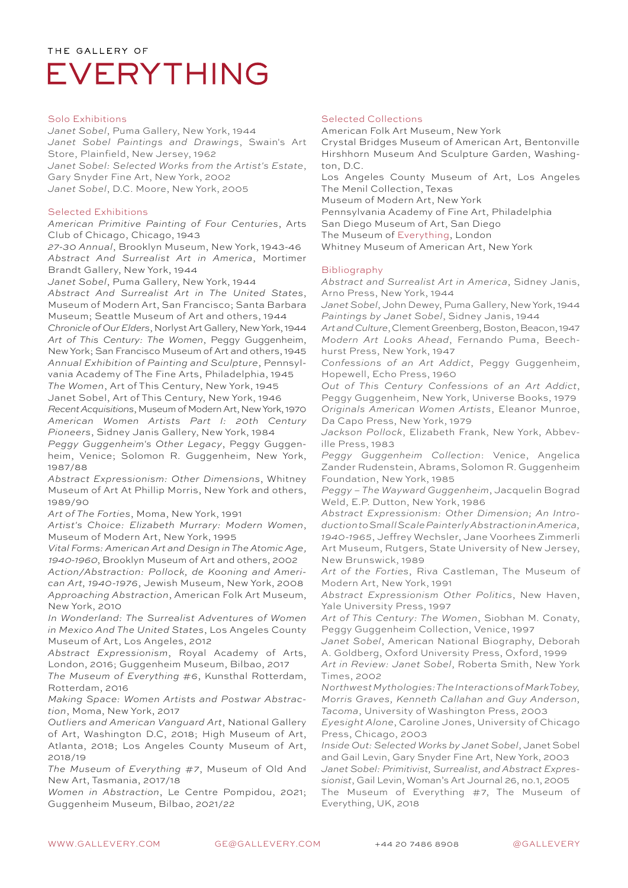#### Solo Exhibitions

*Janet Sobel*, Puma Gallery, New York, 1944 *Janet Sobel Paintings and Drawings*, Swain's Art Store, Plainfield, New Jersey, 1962 *Janet Sobel: Selected Works from the Artist's Estate*, Gary Snyder Fine Art, New York, 2002 *Janet Sobel*, D.C. Moore, New York, 2005

#### Selected Exhibitions

*American Primitive Painting of Four Centuries*, Arts Club of Chicago, Chicago, 1943

*27-30 Annual*, Brooklyn Museum, New York, 1943-46 *Abstract And Surrealist Art in America*, Mortimer Brandt Gallery, New York, 1944

*Janet Sobel*, Puma Gallery, New York, 1944

*Abstract And Surrealist Art in The United States*, Museum of Modern Art, San Francisco; Santa Barbara Museum; Seattle Museum of Art and others, 1944 *Chronicle of Our Elders*, Norlyst Art Gallery, New York, 1944 *Art of This Century: The Women*, Peggy Guggenheim, New York; San Francisco Museum of Art and others, 1945 *Annual Exhibition of Painting and Sculpture*, Pennsyl-

vania Academy of The Fine Arts, Philadelphia, 1945 *The Women*, Art of This Century, New York, 1945 Janet Sobel, Art of This Century, New York, 1946 *Recent Acquisitions*, Museum of Modern Art, New York, 1970 *American Women Artists Part I: 20th Century*

*Pioneers*, Sidney Janis Gallery, New York, 1984 *Peggy Guggenheim's Other Legacy*, Peggy Guggenheim, Venice; Solomon R. Guggenheim, New York, 1987/88

*Abstract Expressionism: Other Dimensions*, Whitney Museum of Art At Phillip Morris, New York and others, 1989/90

*Art of The Forties*, Moma, New York, 1991

*Artist's Choice: Elizabeth Murrary: Modern Women*, Museum of Modern Art, New York, 1995

*Vital Forms: American Art and Design in The Atomic Age*, 1940-1960, Brooklyn Museum of Art and others, 2002

*Action/Abstraction: Pollock, de Kooning and American Art, 1940-1976*, Jewish Museum, New York, 2008 *Approaching Abstraction*, American Folk Art Museum, New York, 2010

*In Wonderland: The Surrealist Adventures of Women in Mexico And The United States*, Los Angeles County Museum of Art, Los Angeles, 2012

*Abstract Expressionism*, Royal Academy of Arts, London, 2016; Guggenheim Museum, Bilbao, 2017

*The Museum of Everything #6*, Kunsthal Rotterdam, Rotterdam, 2016

*Making Space: Women Artists and Postwar Abstraction*, Moma, New York, 2017

*Outliers and American Vanguard Art*, National Gallery of Art, Washington D.C, 2018; High Museum of Art, Atlanta, 2018; Los Angeles County Museum of Art, 2018/19

*The Museum of Everything #7*, Museum of Old And New Art, Tasmania, 2017/18

*Women in Abstraction*, Le Centre Pompidou, 2021; Guggenheim Museum, Bilbao, 2021/22

#### Selected Collections

American Folk Art Museum, New York

Crystal Bridges Museum of American Art, Bentonville Hirshhorn Museum And Sculpture Garden, Washington, D.C.

Los Angeles County Museum of Art, Los Angeles The Menil Collection, Texas

Museum of Modern Art, New York

Pennsylvania Academy of Fine Art, Philadelphia San Diego Museum of Art, San Diego

The Museum of Everything, London

Whitney Museum of American Art, New York

### Bibliography

*Abstract and Surrealist Art in America*, Sidney Janis, Arno Press, New York, 1944

*Janet Sobel*, John Dewey, Puma Gallery, New York, 1944 *Paintings by Janet Sobel*, Sidney Janis, 1944

*Art and Culture*, Clement Greenberg, Boston, Beacon, 1947 *Modern Art Looks Ahead*, Fernando Puma, Beechhurst Press, New York, 1947

*Confessions of an Art Addict*, Peggy Guggenheim, Hopewell, Echo Press, 1960

*Out of This Century Confessions of an Art Addict*, Peggy Guggenheim, New York, Universe Books, 1979 *Originals American Women Artists*, Eleanor Munroe,

Da Capo Press, New York, 1979 *Jackson Pollock*, Elizabeth Frank, New York, Abbev-

ille Press, 1983 *Peggy Guggenheim Collection*: Venice, Angelica

Zander Rudenstein, Abrams, Solomon R. Guggenheim Foundation, New York, 1985

*Peggy – The Wayward Guggenheim*, Jacquelin Bograd Weld, E.P. Dutton, New York, 1986

*Abstract Expressionism: Other Dimension; An Introduction to Small Scale Painterly Abstraction in America, 1940-1965*, Jeffrey Wechsler, Jane Voorhees Zimmerli Art Museum, Rutgers, State University of New Jersey, New Brunswick, 1989

*Art of the Forties*, Riva Castleman, The Museum of Modern Art, New York, 1991

*Abstract Expressionism Other Politics*, New Haven, Yale University Press, 1997

*Art of This Century: The Women*, Siobhan M. Conaty, Peggy Guggenheim Collection, Venice, 1997

*Janet Sobel*, American National Biography, Deborah A. Goldberg, Oxford University Press, Oxford, 1999

*Art in Review: Janet Sobel*, Roberta Smith, New York Times, 2002

*Northwest Mythologies: The Interactions of Mark Tobey, Morris Graves, Kenneth Callahan and Guy Anderson, Tacoma*, University of Washington Press, 2003

*Eyesight Alone*, Caroline Jones, University of Chicago Press, Chicago, 2003

*Inside Out: Selected Works by Janet Sobel*, Janet Sobel and Gail Levin, Gary Snyder Fine Art, New York, 2003 *Janet Sobel: Primitivist, Surrealist, and Abstract Expressionist*, Gail Levin, Woman's Art Journal 26, no. 1, 2005 The Museum of Everything #7, The Museum of Everything, UK, 2018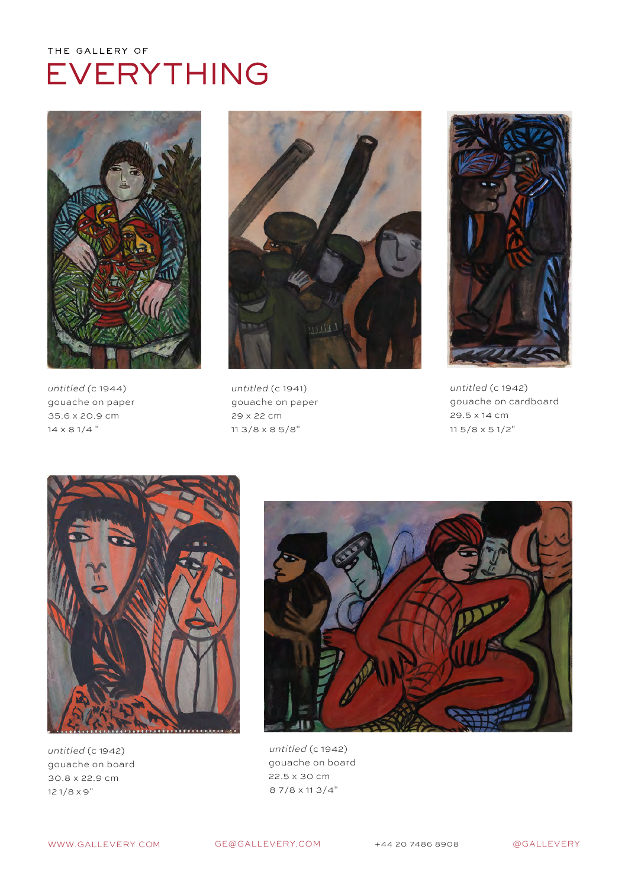

*untitled (*c 1944) gouache on paper 35.6 x 20.9 cm 14 x 8 1/4 "



*untitled* (c 1941) gouache on paper 29 x 22 cm 11 3/8 x 8 5/8"



*untitled* (c 1942) gouache on cardboard 29.5 x 14 cm 11 5/8 x 5 1/2"



*untitled* (c 1942) gouache on board 30.8 x 22.9 cm 12 1/8 x 9"



untitled (c 1942) gouache on board 22.5 x 30 cm 8 7/8 x 11 3/4"